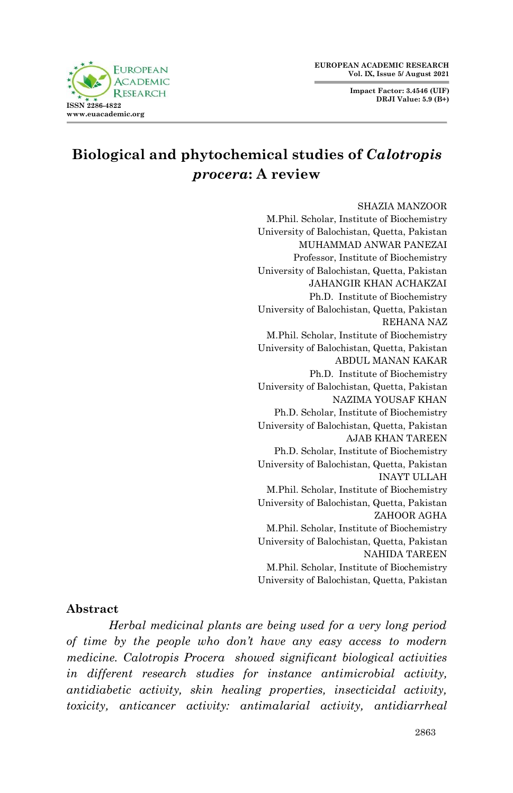**EUROPEAN ACADEMIC RESEARCH Vol. IX, Issue 5/ August 2021**

> **Impact Factor: 3.4546 (UIF) DRJI Value: 5.9 (B+)**



# **Biological and phytochemical studies of** *Calotropis procera***: A review**

#### SHAZIA MANZOOR

M.Phil. Scholar, Institute of Biochemistry University of Balochistan, Quetta, Pakistan MUHAMMAD ANWAR PANEZAI Professor, Institute of Biochemistry University of Balochistan, Quetta, Pakistan JAHANGIR KHAN ACHAKZAI Ph.D. Institute of Biochemistry University of Balochistan, Quetta, Pakistan REHANA NAZ M.Phil. Scholar, Institute of Biochemistry University of Balochistan, Quetta, Pakistan ABDUL MANAN KAKAR Ph.D. Institute of Biochemistry University of Balochistan, Quetta, Pakistan NAZIMA YOUSAF KHAN Ph.D. Scholar, Institute of Biochemistry University of Balochistan, Quetta, Pakistan AJAB KHAN TAREEN Ph.D. Scholar, Institute of Biochemistry University of Balochistan, Quetta, Pakistan INAYT ULLAH M.Phil. Scholar, Institute of Biochemistry University of Balochistan, Quetta, Pakistan ZAHOOR AGHA M.Phil. Scholar, Institute of Biochemistry University of Balochistan, Quetta, Pakistan NAHIDA TAREEN M.Phil. Scholar, Institute of Biochemistry University of Balochistan, Quetta, Pakistan

#### **Abstract**

*Herbal medicinal plants are being used for a very long period of time by the people who don't have any easy access to modern medicine. Calotropis Procera showed significant biological activities in different research studies for instance antimicrobial activity, antidiabetic activity, skin healing properties, insecticidal activity, toxicity, anticancer activity: antimalarial activity, antidiarrheal*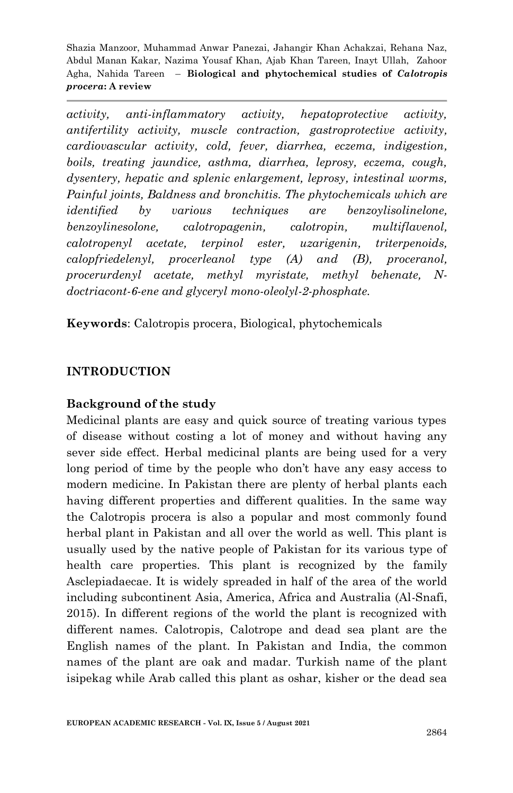*activity, anti-inflammatory activity, hepatoprotective activity, antifertility activity, muscle contraction, gastroprotective activity, cardiovascular activity, cold, fever, diarrhea, eczema, indigestion, boils, treating jaundice, asthma, diarrhea, leprosy, eczema, cough, dysentery, hepatic and splenic enlargement, leprosy, intestinal worms, Painful joints, Baldness and bronchitis. The phytochemicals which are identified by various techniques are benzoylisolinelone, benzoylinesolone, calotropagenin, calotropin, multiflavenol, calotropenyl acetate, terpinol ester, uzarigenin, triterpenoids, calopfriedelenyl, procerleanol type (A) and (B), proceranol, procerurdenyl acetate, methyl myristate, methyl behenate, Ndoctriacont-6-ene and glyceryl mono-oleolyl-2-phosphate.*

**Keywords**: Calotropis procera, Biological, phytochemicals

# **INTRODUCTION**

#### **Background of the study**

Medicinal plants are easy and quick source of treating various types of disease without costing a lot of money and without having any sever side effect. Herbal medicinal plants are being used for a very long period of time by the people who don't have any easy access to modern medicine. In Pakistan there are plenty of herbal plants each having different properties and different qualities. In the same way the Calotropis procera is also a popular and most commonly found herbal plant in Pakistan and all over the world as well. This plant is usually used by the native people of Pakistan for its various type of health care properties. This plant is recognized by the family Asclepiadaecae. It is widely spreaded in half of the area of the world including subcontinent Asia, America, Africa and Australia (Al-Snafi, 2015). In different regions of the world the plant is recognized with different names. Calotropis, Calotrope and dead sea plant are the English names of the plant. In Pakistan and India, the common names of the plant are oak and madar. Turkish name of the plant isipekag while Arab called this plant as oshar, kisher or the dead sea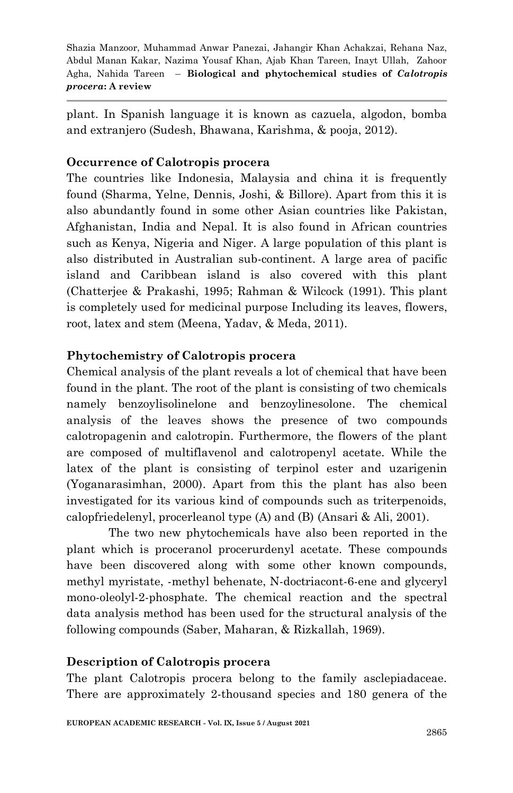plant. In Spanish language it is known as cazuela, algodon, bomba and extranjero (Sudesh, Bhawana, Karishma, & pooja, 2012).

### **Occurrence of Calotropis procera**

The countries like Indonesia, Malaysia and china it is frequently found (Sharma, Yelne, Dennis, Joshi, & Billore). Apart from this it is also abundantly found in some other Asian countries like Pakistan, Afghanistan, India and Nepal. It is also found in African countries such as Kenya, Nigeria and Niger. A large population of this plant is also distributed in Australian sub-continent. A large area of pacific island and Caribbean island is also covered with this plant (Chatterjee & Prakashi, 1995; Rahman & Wilcock (1991). This plant is completely used for medicinal purpose Including its leaves, flowers, root, latex and stem (Meena, Yadav, & Meda, 2011).

# **Phytochemistry of Calotropis procera**

Chemical analysis of the plant reveals a lot of chemical that have been found in the plant. The root of the plant is consisting of two chemicals namely benzoylisolinelone and benzoylinesolone. The chemical analysis of the leaves shows the presence of two compounds calotropagenin and calotropin. Furthermore, the flowers of the plant are composed of multiflavenol and calotropenyl acetate. While the latex of the plant is consisting of terpinol ester and uzarigenin (Yoganarasimhan, 2000). Apart from this the plant has also been investigated for its various kind of compounds such as triterpenoids, calopfriedelenyl, procerleanol type (A) and (B) (Ansari & Ali, 2001).

The two new phytochemicals have also been reported in the plant which is proceranol procerurdenyl acetate. These compounds have been discovered along with some other known compounds, methyl myristate, -methyl behenate, N-doctriacont-6-ene and glyceryl mono-oleolyl-2-phosphate. The chemical reaction and the spectral data analysis method has been used for the structural analysis of the following compounds (Saber, Maharan, & Rizkallah, 1969).

#### **Description of Calotropis procera**

The plant Calotropis procera belong to the family asclepiadaceae. There are approximately 2-thousand species and 180 genera of the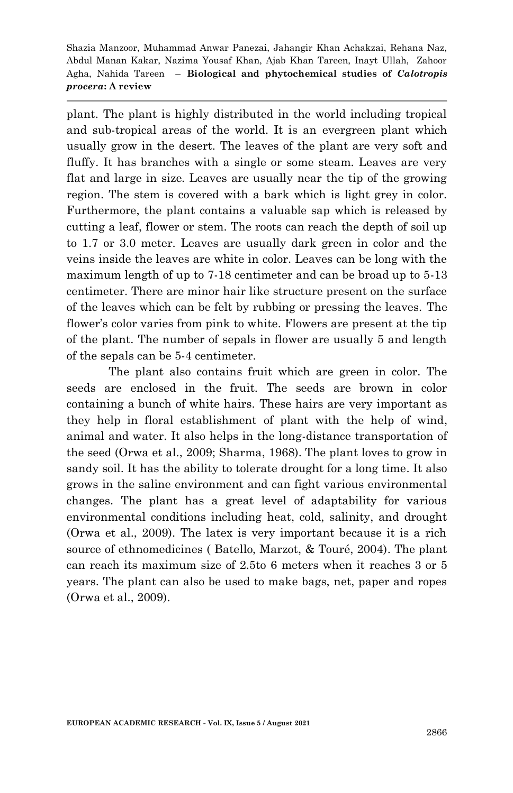plant. The plant is highly distributed in the world including tropical and sub-tropical areas of the world. It is an evergreen plant which usually grow in the desert. The leaves of the plant are very soft and fluffy. It has branches with a single or some steam. Leaves are very flat and large in size. Leaves are usually near the tip of the growing region. The stem is covered with a bark which is light grey in color. Furthermore, the plant contains a valuable sap which is released by cutting a leaf, flower or stem. The roots can reach the depth of soil up to 1.7 or 3.0 meter. Leaves are usually dark green in color and the veins inside the leaves are white in color. Leaves can be long with the maximum length of up to 7-18 centimeter and can be broad up to 5-13 centimeter. There are minor hair like structure present on the surface of the leaves which can be felt by rubbing or pressing the leaves. The flower's color varies from pink to white. Flowers are present at the tip of the plant. The number of sepals in flower are usually 5 and length of the sepals can be 5-4 centimeter.

The plant also contains fruit which are green in color. The seeds are enclosed in the fruit. The seeds are brown in color containing a bunch of white hairs. These hairs are very important as they help in floral establishment of plant with the help of wind, animal and water. It also helps in the long-distance transportation of the seed (Orwa et al., 2009; Sharma, 1968). The plant loves to grow in sandy soil. It has the ability to tolerate drought for a long time. It also grows in the saline environment and can fight various environmental changes. The plant has a great level of adaptability for various environmental conditions including heat, cold, salinity, and drought (Orwa et al., 2009). The latex is very important because it is a rich source of ethnomedicines ( Batello, Marzot, & Touré, 2004). The plant can reach its maximum size of 2.5to 6 meters when it reaches 3 or 5 years. The plant can also be used to make bags, net, paper and ropes (Orwa et al., 2009).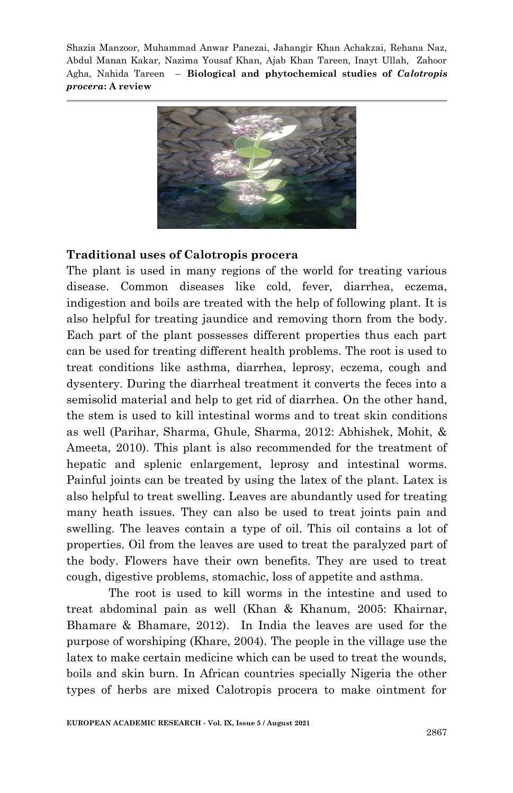

#### **Traditional uses of Calotropis procera**

The plant is used in many regions of the world for treating various disease. Common diseases like cold, fever, diarrhea, eczema, indigestion and boils are treated with the help of following plant. It is also helpful for treating jaundice and removing thorn from the body. Each part of the plant possesses different properties thus each part can be used for treating different health problems. The root is used to treat conditions like asthma, diarrhea, leprosy, eczema, cough and dysentery. During the diarrheal treatment it converts the feces into a semisolid material and help to get rid of diarrhea. On the other hand, the stem is used to kill intestinal worms and to treat skin conditions as well (Parihar, Sharma, Ghule, Sharma, 2012: Abhishek, Mohit, & Ameeta, 2010). This plant is also recommended for the treatment of hepatic and splenic enlargement, leprosy and intestinal worms. Painful joints can be treated by using the latex of the plant. Latex is also helpful to treat swelling. Leaves are abundantly used for treating many heath issues. They can also be used to treat joints pain and swelling. The leaves contain a type of oil. This oil contains a lot of properties. Oil from the leaves are used to treat the paralyzed part of the body. Flowers have their own benefits. They are used to treat cough, digestive problems, stomachic, loss of appetite and asthma.

The root is used to kill worms in the intestine and used to treat abdominal pain as well (Khan & Khanum, 2005: Khairnar, Bhamare & Bhamare, 2012). In India the leaves are used for the purpose of worshiping (Khare, 2004). The people in the village use the latex to make certain medicine which can be used to treat the wounds, boils and skin burn. In African countries specially Nigeria the other types of herbs are mixed Calotropis procera to make ointment for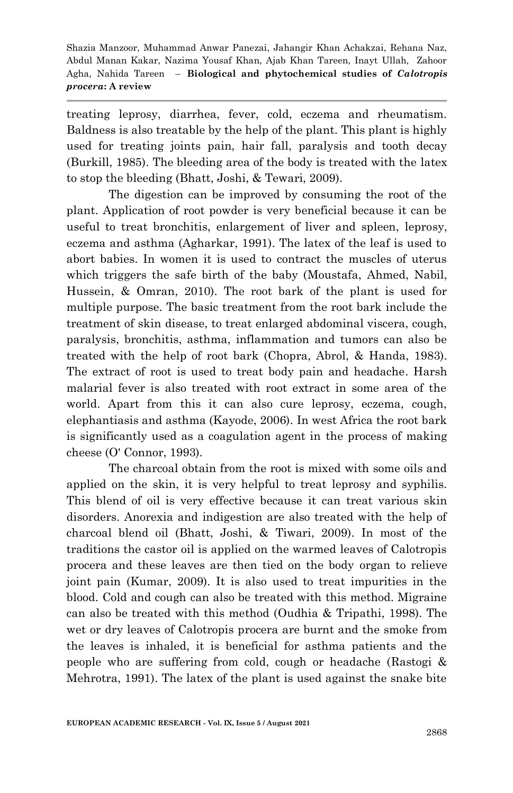treating leprosy, diarrhea, fever, cold, eczema and rheumatism. Baldness is also treatable by the help of the plant. This plant is highly used for treating joints pain, hair fall, paralysis and tooth decay (Burkill, 1985). The bleeding area of the body is treated with the latex to stop the bleeding (Bhatt, Joshi, & Tewari, 2009).

The digestion can be improved by consuming the root of the plant. Application of root powder is very beneficial because it can be useful to treat bronchitis, enlargement of liver and spleen, leprosy, eczema and asthma (Agharkar, 1991). The latex of the leaf is used to abort babies. In women it is used to contract the muscles of uterus which triggers the safe birth of the baby (Moustafa, Ahmed, Nabil, Hussein, & Omran, 2010). The root bark of the plant is used for multiple purpose. The basic treatment from the root bark include the treatment of skin disease, to treat enlarged abdominal viscera, cough, paralysis, bronchitis, asthma, inflammation and tumors can also be treated with the help of root bark (Chopra, Abrol, & Handa, 1983). The extract of root is used to treat body pain and headache. Harsh malarial fever is also treated with root extract in some area of the world. Apart from this it can also cure leprosy, eczema, cough, elephantiasis and asthma (Kayode, 2006). In west Africa the root bark is significantly used as a coagulation agent in the process of making cheese (O' Connor, 1993).

The charcoal obtain from the root is mixed with some oils and applied on the skin, it is very helpful to treat leprosy and syphilis. This blend of oil is very effective because it can treat various skin disorders. Anorexia and indigestion are also treated with the help of charcoal blend oil (Bhatt, Joshi, & Tiwari, 2009). In most of the traditions the castor oil is applied on the warmed leaves of Calotropis procera and these leaves are then tied on the body organ to relieve joint pain (Kumar, 2009). It is also used to treat impurities in the blood. Cold and cough can also be treated with this method. Migraine can also be treated with this method (Oudhia & Tripathi, 1998). The wet or dry leaves of Calotropis procera are burnt and the smoke from the leaves is inhaled, it is beneficial for asthma patients and the people who are suffering from cold, cough or headache (Rastogi & Mehrotra, 1991). The latex of the plant is used against the snake bite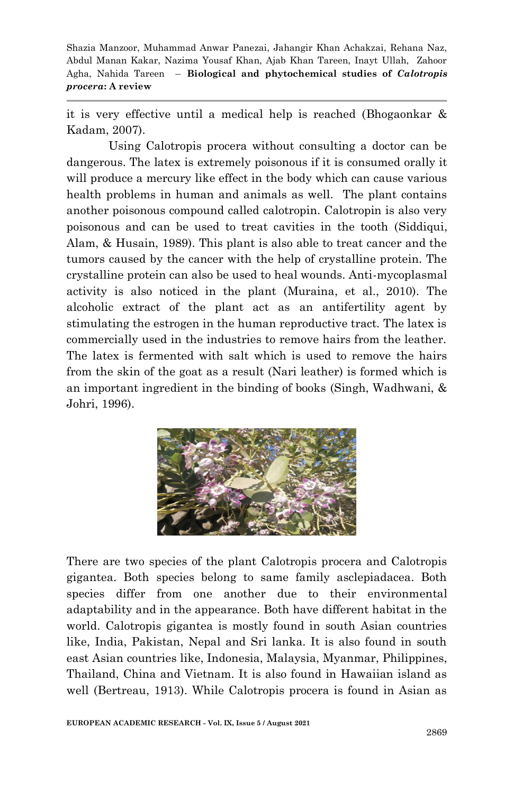it is very effective until a medical help is reached (Bhogaonkar & Kadam, 2007).

Using Calotropis procera without consulting a doctor can be dangerous. The latex is extremely poisonous if it is consumed orally it will produce a mercury like effect in the body which can cause various health problems in human and animals as well. The plant contains another poisonous compound called calotropin. Calotropin is also very poisonous and can be used to treat cavities in the tooth (Siddiqui, Alam, & Husain, 1989). This plant is also able to treat cancer and the tumors caused by the cancer with the help of crystalline protein. The crystalline protein can also be used to heal wounds. Anti-mycoplasmal activity is also noticed in the plant (Muraina, et al., 2010). The alcoholic extract of the plant act as an antifertility agent by stimulating the estrogen in the human reproductive tract. The latex is commercially used in the industries to remove hairs from the leather. The latex is fermented with salt which is used to remove the hairs from the skin of the goat as a result (Nari leather) is formed which is an important ingredient in the binding of books (Singh, Wadhwani, & Johri, 1996).



There are two species of the plant Calotropis procera and Calotropis gigantea. Both species belong to same family asclepiadacea. Both species differ from one another due to their environmental adaptability and in the appearance. Both have different habitat in the world. Calotropis gigantea is mostly found in south Asian countries like, India, Pakistan, Nepal and Sri lanka. It is also found in south east Asian countries like, Indonesia, Malaysia, Myanmar, Philippines, Thailand, China and Vietnam. It is also found in Hawaiian island as well (Bertreau, 1913). While Calotropis procera is found in Asian as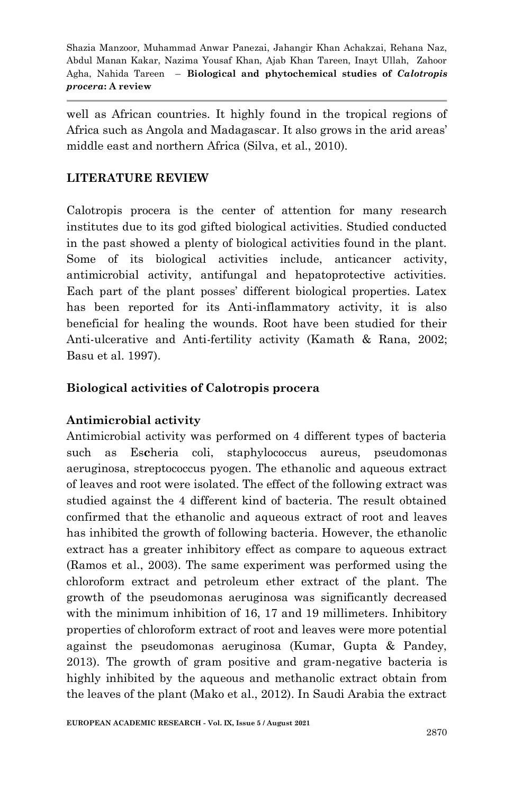well as African countries. It highly found in the tropical regions of Africa such as Angola and Madagascar. It also grows in the arid areas' middle east and northern Africa (Silva, et al., 2010).

# **LITERATURE REVIEW**

Calotropis procera is the center of attention for many research institutes due to its god gifted biological activities. Studied conducted in the past showed a plenty of biological activities found in the plant. Some of its biological activities include, anticancer activity, antimicrobial activity, antifungal and hepatoprotective activities. Each part of the plant posses' different biological properties. Latex has been reported for its Anti-inflammatory activity, it is also beneficial for healing the wounds. Root have been studied for their Anti-ulcerative and Anti-fertility activity (Kamath & Rana, 2002; Basu et al. 1997).

# **Biological activities of Calotropis procera**

# **Antimicrobial activity**

Antimicrobial activity was performed on 4 different types of bacteria such as Es**c**heria coli, staphylococcus aureus, pseudomonas aeruginosa, streptococcus pyogen. The ethanolic and aqueous extract of leaves and root were isolated. The effect of the following extract was studied against the 4 different kind of bacteria. The result obtained confirmed that the ethanolic and aqueous extract of root and leaves has inhibited the growth of following bacteria. However, the ethanolic extract has a greater inhibitory effect as compare to aqueous extract (Ramos et al., 2003). The same experiment was performed using the chloroform extract and petroleum ether extract of the plant. The growth of the pseudomonas aeruginosa was significantly decreased with the minimum inhibition of 16, 17 and 19 millimeters. Inhibitory properties of chloroform extract of root and leaves were more potential against the pseudomonas aeruginosa (Kumar, Gupta & Pandey, 2013). The growth of gram positive and gram-negative bacteria is highly inhibited by the aqueous and methanolic extract obtain from the leaves of the plant (Mako et al., 2012). In Saudi Arabia the extract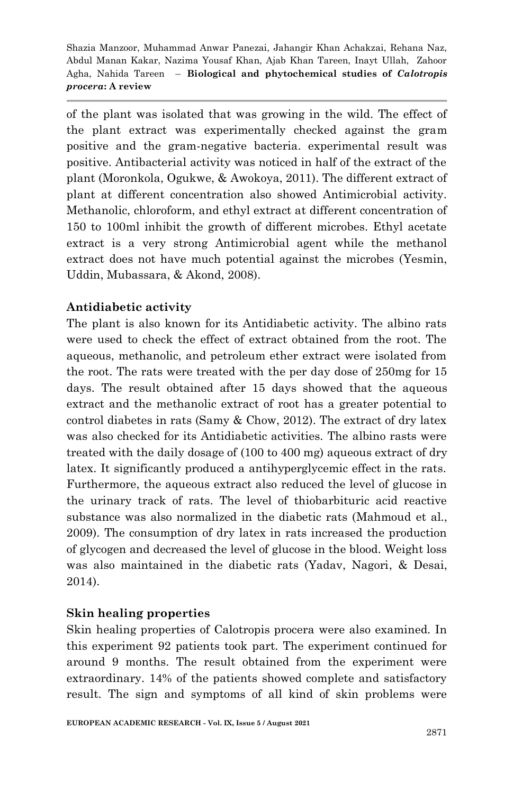of the plant was isolated that was growing in the wild. The effect of the plant extract was experimentally checked against the gram positive and the gram-negative bacteria. experimental result was positive. Antibacterial activity was noticed in half of the extract of the plant (Moronkola, Ogukwe, & Awokoya, 2011). The different extract of plant at different concentration also showed Antimicrobial activity. Methanolic, chloroform, and ethyl extract at different concentration of 150 to 100ml inhibit the growth of different microbes. Ethyl acetate extract is a very strong Antimicrobial agent while the methanol extract does not have much potential against the microbes (Yesmin, Uddin, Mubassara, & Akond, 2008).

# **Antidiabetic activity**

The plant is also known for its Antidiabetic activity. The albino rats were used to check the effect of extract obtained from the root. The aqueous, methanolic, and petroleum ether extract were isolated from the root. The rats were treated with the per day dose of 250mg for 15 days. The result obtained after 15 days showed that the aqueous extract and the methanolic extract of root has a greater potential to control diabetes in rats (Samy & Chow, 2012). The extract of dry latex was also checked for its Antidiabetic activities. The albino rasts were treated with the daily dosage of (100 to 400 mg) aqueous extract of dry latex. It significantly produced a antihyperglycemic effect in the rats. Furthermore, the aqueous extract also reduced the level of glucose in the urinary track of rats. The level of thiobarbituric acid reactive substance was also normalized in the diabetic rats (Mahmoud et al., 2009). The consumption of dry latex in rats increased the production of glycogen and decreased the level of glucose in the blood. Weight loss was also maintained in the diabetic rats (Yadav, Nagori, & Desai, 2014).

#### **Skin healing properties**

Skin healing properties of Calotropis procera were also examined. In this experiment 92 patients took part. The experiment continued for around 9 months. The result obtained from the experiment were extraordinary. 14% of the patients showed complete and satisfactory result. The sign and symptoms of all kind of skin problems were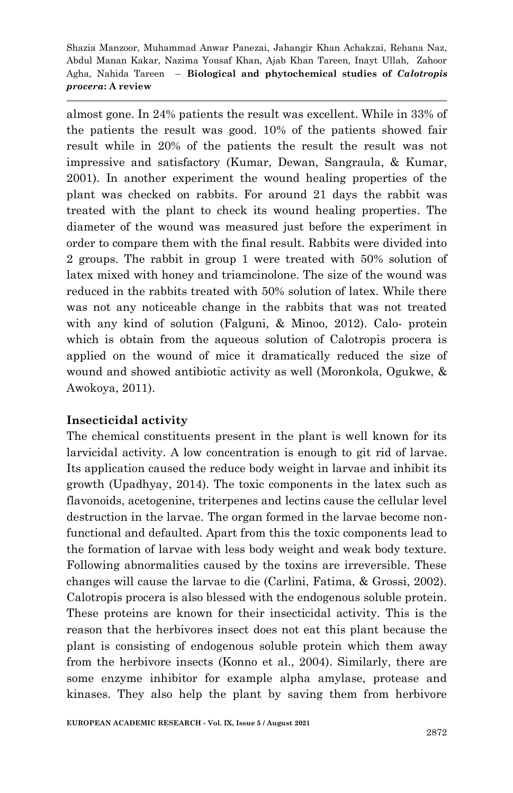almost gone. In 24% patients the result was excellent. While in 33% of the patients the result was good. 10% of the patients showed fair result while in 20% of the patients the result the result was not impressive and satisfactory (Kumar, Dewan, Sangraula, & Kumar, 2001). In another experiment the wound healing properties of the plant was checked on rabbits. For around 21 days the rabbit was treated with the plant to check its wound healing properties. The diameter of the wound was measured just before the experiment in order to compare them with the final result. Rabbits were divided into 2 groups. The rabbit in group 1 were treated with 50% solution of latex mixed with honey and triamcinolone. The size of the wound was reduced in the rabbits treated with 50% solution of latex. While there was not any noticeable change in the rabbits that was not treated with any kind of solution (Falguni, & Minoo, 2012). Calo- protein which is obtain from the aqueous solution of Calotropis procera is applied on the wound of mice it dramatically reduced the size of wound and showed antibiotic activity as well (Moronkola, Ogukwe, & Awokoya, 2011).

#### **Insecticidal activity**

The chemical constituents present in the plant is well known for its larvicidal activity. A low concentration is enough to git rid of larvae. Its application caused the reduce body weight in larvae and inhibit its growth (Upadhyay, 2014). The toxic components in the latex such as flavonoids, acetogenine, triterpenes and lectins cause the cellular level destruction in the larvae. The organ formed in the larvae become nonfunctional and defaulted. Apart from this the toxic components lead to the formation of larvae with less body weight and weak body texture. Following abnormalities caused by the toxins are irreversible. These changes will cause the larvae to die (Carlini, Fatima, & Grossi, 2002). Calotropis procera is also blessed with the endogenous soluble protein. These proteins are known for their insecticidal activity. This is the reason that the herbivores insect does not eat this plant because the plant is consisting of endogenous soluble protein which them away from the herbivore insects (Konno et al., 2004). Similarly, there are some enzyme inhibitor for example alpha amylase, protease and kinases. They also help the plant by saving them from herbivore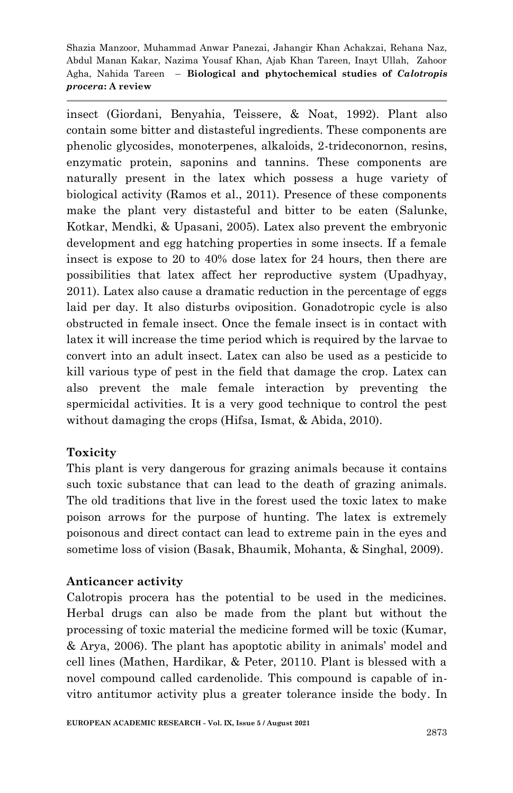insect (Giordani, Benyahia, Teissere, & Noat, 1992). Plant also contain some bitter and distasteful ingredients. These components are phenolic glycosides, monoterpenes, alkaloids, 2-trideconornon, resins, enzymatic protein, saponins and tannins. These components are naturally present in the latex which possess a huge variety of biological activity (Ramos et al., 2011). Presence of these components make the plant very distasteful and bitter to be eaten (Salunke, Kotkar, Mendki, & Upasani, 2005). Latex also prevent the embryonic development and egg hatching properties in some insects. If a female insect is expose to 20 to 40% dose latex for 24 hours, then there are possibilities that latex affect her reproductive system (Upadhyay, 2011). Latex also cause a dramatic reduction in the percentage of eggs laid per day. It also disturbs oviposition. Gonadotropic cycle is also obstructed in female insect. Once the female insect is in contact with latex it will increase the time period which is required by the larvae to convert into an adult insect. Latex can also be used as a pesticide to kill various type of pest in the field that damage the crop. Latex can also prevent the male female interaction by preventing the spermicidal activities. It is a very good technique to control the pest without damaging the crops (Hifsa, Ismat, & Abida, 2010).

# **Toxicity**

This plant is very dangerous for grazing animals because it contains such toxic substance that can lead to the death of grazing animals. The old traditions that live in the forest used the toxic latex to make poison arrows for the purpose of hunting. The latex is extremely poisonous and direct contact can lead to extreme pain in the eyes and sometime loss of vision (Basak, Bhaumik, Mohanta, & Singhal, 2009).

#### **Anticancer activity**

Calotropis procera has the potential to be used in the medicines. Herbal drugs can also be made from the plant but without the processing of toxic material the medicine formed will be toxic (Kumar, & Arya, 2006). The plant has apoptotic ability in animals' model and cell lines (Mathen, Hardikar, & Peter, 20110. Plant is blessed with a novel compound called cardenolide. This compound is capable of invitro antitumor activity plus a greater tolerance inside the body. In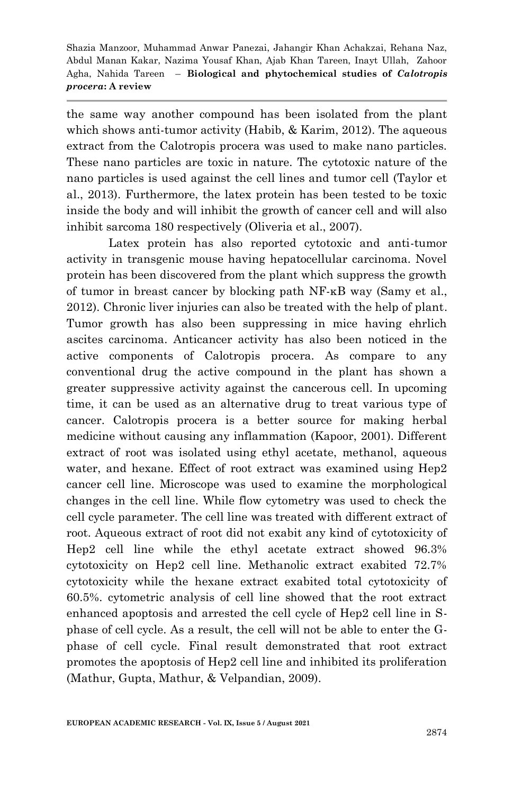the same way another compound has been isolated from the plant which shows anti-tumor activity (Habib, & Karim, 2012). The aqueous extract from the Calotropis procera was used to make nano particles. These nano particles are toxic in nature. The cytotoxic nature of the nano particles is used against the cell lines and tumor cell (Taylor et al., 2013). Furthermore, the latex protein has been tested to be toxic inside the body and will inhibit the growth of cancer cell and will also inhibit sarcoma 180 respectively (Oliveria et al., 2007).

Latex protein has also reported cytotoxic and anti-tumor activity in transgenic mouse having hepatocellular carcinoma. Novel protein has been discovered from the plant which suppress the growth of tumor in breast cancer by blocking path NF-κB way (Samy et al., 2012). Chronic liver injuries can also be treated with the help of plant. Tumor growth has also been suppressing in mice having ehrlich ascites carcinoma. Anticancer activity has also been noticed in the active components of Calotropis procera. As compare to any conventional drug the active compound in the plant has shown a greater suppressive activity against the cancerous cell. In upcoming time, it can be used as an alternative drug to treat various type of cancer. Calotropis procera is a better source for making herbal medicine without causing any inflammation (Kapoor, 2001). Different extract of root was isolated using ethyl acetate, methanol, aqueous water, and hexane. Effect of root extract was examined using Hep2 cancer cell line. Microscope was used to examine the morphological changes in the cell line. While flow cytometry was used to check the cell cycle parameter. The cell line was treated with different extract of root. Aqueous extract of root did not exabit any kind of cytotoxicity of Hep2 cell line while the ethyl acetate extract showed 96.3% cytotoxicity on Hep2 cell line. Methanolic extract exabited 72.7% cytotoxicity while the hexane extract exabited total cytotoxicity of 60.5%. cytometric analysis of cell line showed that the root extract enhanced apoptosis and arrested the cell cycle of Hep2 cell line in Sphase of cell cycle. As a result, the cell will not be able to enter the Gphase of cell cycle. Final result demonstrated that root extract promotes the apoptosis of Hep2 cell line and inhibited its proliferation (Mathur, Gupta, Mathur, & Velpandian, 2009).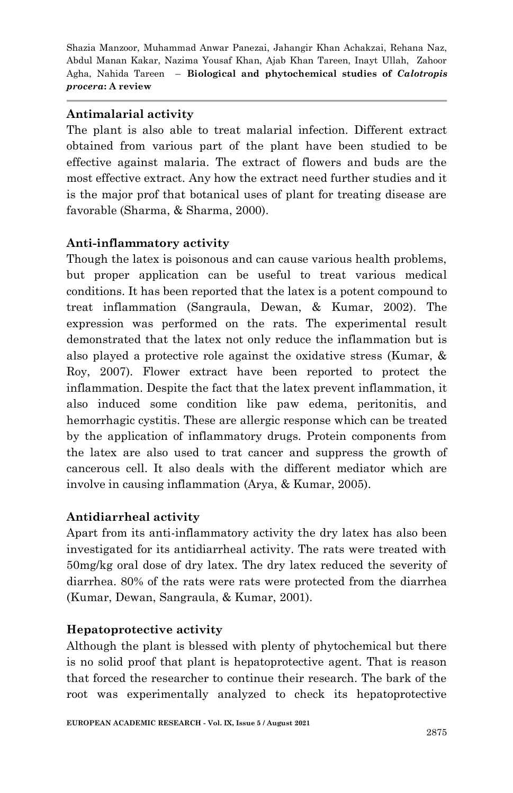#### **Antimalarial activity**

The plant is also able to treat malarial infection. Different extract obtained from various part of the plant have been studied to be effective against malaria. The extract of flowers and buds are the most effective extract. Any how the extract need further studies and it is the major prof that botanical uses of plant for treating disease are favorable (Sharma, & Sharma, 2000).

# **Anti-inflammatory activity**

Though the latex is poisonous and can cause various health problems, but proper application can be useful to treat various medical conditions. It has been reported that the latex is a potent compound to treat inflammation (Sangraula, Dewan, & Kumar, 2002). The expression was performed on the rats. The experimental result demonstrated that the latex not only reduce the inflammation but is also played a protective role against the oxidative stress (Kumar, & Roy, 2007). Flower extract have been reported to protect the inflammation. Despite the fact that the latex prevent inflammation, it also induced some condition like paw edema, peritonitis, and hemorrhagic cystitis. These are allergic response which can be treated by the application of inflammatory drugs. Protein components from the latex are also used to trat cancer and suppress the growth of cancerous cell. It also deals with the different mediator which are involve in causing inflammation (Arya, & Kumar, 2005).

# **Antidiarrheal activity**

Apart from its anti-inflammatory activity the dry latex has also been investigated for its antidiarrheal activity. The rats were treated with 50mg/kg oral dose of dry latex. The dry latex reduced the severity of diarrhea. 80% of the rats were rats were protected from the diarrhea (Kumar, Dewan, Sangraula, & Kumar, 2001).

# **Hepatoprotective activity**

Although the plant is blessed with plenty of phytochemical but there is no solid proof that plant is hepatoprotective agent. That is reason that forced the researcher to continue their research. The bark of the root was experimentally analyzed to check its hepatoprotective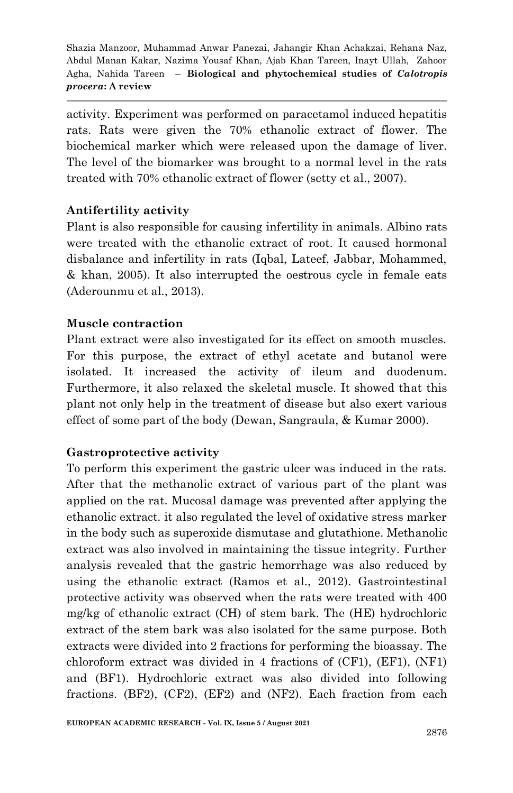activity. Experiment was performed on paracetamol induced hepatitis rats. Rats were given the 70% ethanolic extract of flower. The biochemical marker which were released upon the damage of liver. The level of the biomarker was brought to a normal level in the rats treated with 70% ethanolic extract of flower (setty et al., 2007).

# **Antifertility activity**

Plant is also responsible for causing infertility in animals. Albino rats were treated with the ethanolic extract of root. It caused hormonal disbalance and infertility in rats (Iqbal, Lateef, Jabbar, Mohammed, & khan, 2005). It also interrupted the oestrous cycle in female eats (Aderounmu et al., 2013).

#### **Muscle contraction**

Plant extract were also investigated for its effect on smooth muscles. For this purpose, the extract of ethyl acetate and butanol were isolated. It increased the activity of ileum and duodenum. Furthermore, it also relaxed the skeletal muscle. It showed that this plant not only help in the treatment of disease but also exert various effect of some part of the body (Dewan, Sangraula, & Kumar 2000).

#### **Gastroprotective activity**

To perform this experiment the gastric ulcer was induced in the rats. After that the methanolic extract of various part of the plant was applied on the rat. Mucosal damage was prevented after applying the ethanolic extract. it also regulated the level of oxidative stress marker in the body such as superoxide dismutase and glutathione. Methanolic extract was also involved in maintaining the tissue integrity. Further analysis revealed that the gastric hemorrhage was also reduced by using the ethanolic extract (Ramos et al., 2012). Gastrointestinal protective activity was observed when the rats were treated with 400 mg/kg of ethanolic extract (CH) of stem bark. The (HE) hydrochloric extract of the stem bark was also isolated for the same purpose. Both extracts were divided into 2 fractions for performing the bioassay. The chloroform extract was divided in 4 fractions of (CF1), (EF1), (NF1) and (BF1). Hydrochloric extract was also divided into following fractions. (BF2), (CF2), (EF2) and (NF2). Each fraction from each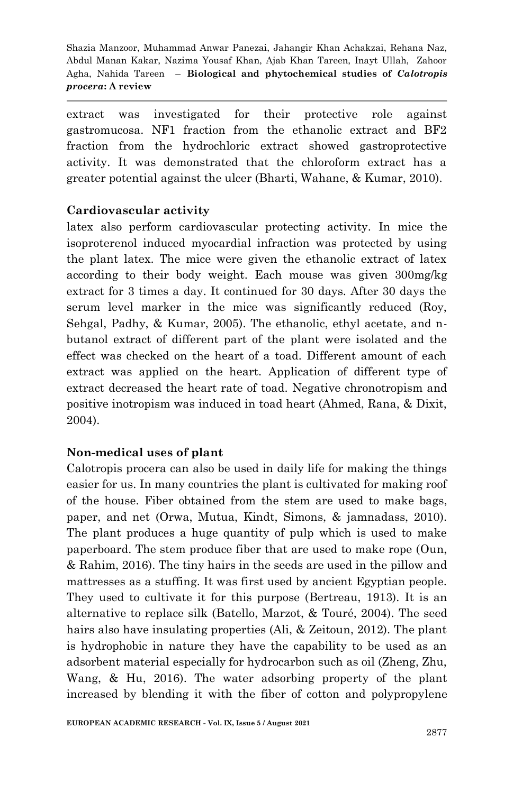extract was investigated for their protective role against gastromucosa. NF1 fraction from the ethanolic extract and BF2 fraction from the hydrochloric extract showed gastroprotective activity. It was demonstrated that the chloroform extract has a greater potential against the ulcer (Bharti, Wahane, & Kumar, 2010).

#### **Cardiovascular activity**

latex also perform cardiovascular protecting activity. In mice the isoproterenol induced myocardial infraction was protected by using the plant latex. The mice were given the ethanolic extract of latex according to their body weight. Each mouse was given 300mg/kg extract for 3 times a day. It continued for 30 days. After 30 days the serum level marker in the mice was significantly reduced (Roy, Sehgal, Padhy, & Kumar, 2005). The ethanolic, ethyl acetate, and nbutanol extract of different part of the plant were isolated and the effect was checked on the heart of a toad. Different amount of each extract was applied on the heart. Application of different type of extract decreased the heart rate of toad. Negative chronotropism and positive inotropism was induced in toad heart (Ahmed, Rana, & Dixit, 2004).

#### **Non-medical uses of plant**

Calotropis procera can also be used in daily life for making the things easier for us. In many countries the plant is cultivated for making roof of the house. Fiber obtained from the stem are used to make bags, paper, and net (Orwa, Mutua, Kindt, Simons, & jamnadass, 2010). The plant produces a huge quantity of pulp which is used to make paperboard. The stem produce fiber that are used to make rope (Oun, & Rahim, 2016). The tiny hairs in the seeds are used in the pillow and mattresses as a stuffing. It was first used by ancient Egyptian people. They used to cultivate it for this purpose (Bertreau, 1913). It is an alternative to replace silk (Batello, Marzot, & Touré, 2004). The seed hairs also have insulating properties (Ali, & Zeitoun, 2012). The plant is hydrophobic in nature they have the capability to be used as an adsorbent material especially for hydrocarbon such as oil (Zheng, Zhu, Wang, & Hu, 2016). The water adsorbing property of the plant increased by blending it with the fiber of cotton and polypropylene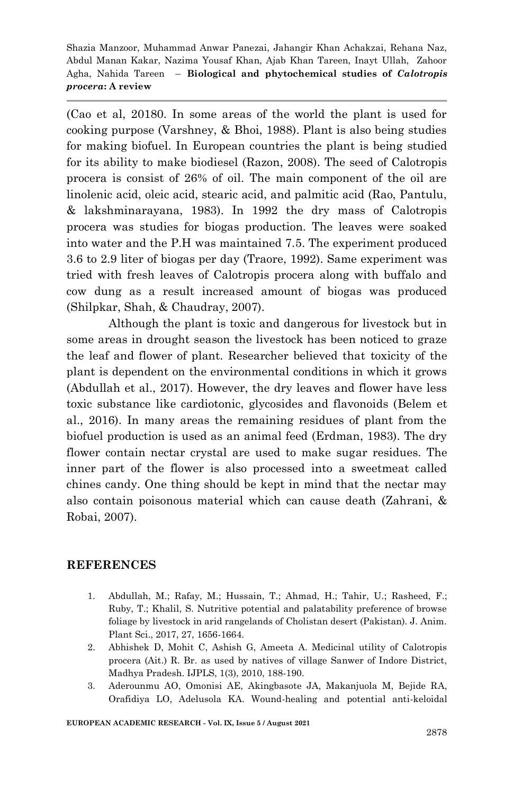(Cao et al, 20180. In some areas of the world the plant is used for cooking purpose (Varshney, & Bhoi, 1988). Plant is also being studies for making biofuel. In European countries the plant is being studied for its ability to make biodiesel (Razon, 2008). The seed of Calotropis procera is consist of 26% of oil. The main component of the oil are linolenic acid, oleic acid, stearic acid, and palmitic acid (Rao, Pantulu, & lakshminarayana, 1983). In 1992 the dry mass of Calotropis procera was studies for biogas production. The leaves were soaked into water and the P.H was maintained 7.5. The experiment produced 3.6 to 2.9 liter of biogas per day (Traore, 1992). Same experiment was tried with fresh leaves of Calotropis procera along with buffalo and cow dung as a result increased amount of biogas was produced (Shilpkar, Shah, & Chaudray, 2007).

Although the plant is toxic and dangerous for livestock but in some areas in drought season the livestock has been noticed to graze the leaf and flower of plant. Researcher believed that toxicity of the plant is dependent on the environmental conditions in which it grows (Abdullah et al., 2017). However, the dry leaves and flower have less toxic substance like cardiotonic, glycosides and flavonoids (Belem et al., 2016). In many areas the remaining residues of plant from the biofuel production is used as an animal feed (Erdman, 1983). The dry flower contain nectar crystal are used to make sugar residues. The inner part of the flower is also processed into a sweetmeat called chines candy. One thing should be kept in mind that the nectar may also contain poisonous material which can cause death (Zahrani, & Robai, 2007).

#### **REFERENCES**

- 1. Abdullah, M.; Rafay, M.; Hussain, T.; Ahmad, H.; Tahir, U.; Rasheed, F.; Ruby, T.; Khalil, S. Nutritive potential and palatability preference of browse foliage by livestock in arid rangelands of Cholistan desert (Pakistan). J. Anim. Plant Sci., 2017, 27, 1656-1664.
- 2. Abhishek D, Mohit C, Ashish G, Ameeta A. Medicinal utility of Calotropis procera (Ait.) R. Br. as used by natives of village Sanwer of Indore District, Madhya Pradesh. IJPLS, 1(3), 2010, 188-190.
- 3. Aderounmu AO, Omonisi AE, Akingbasote JA, Makanjuola M, Bejide RA, Orafidiya LO, Adelusola KA. Wound-healing and potential anti-keloidal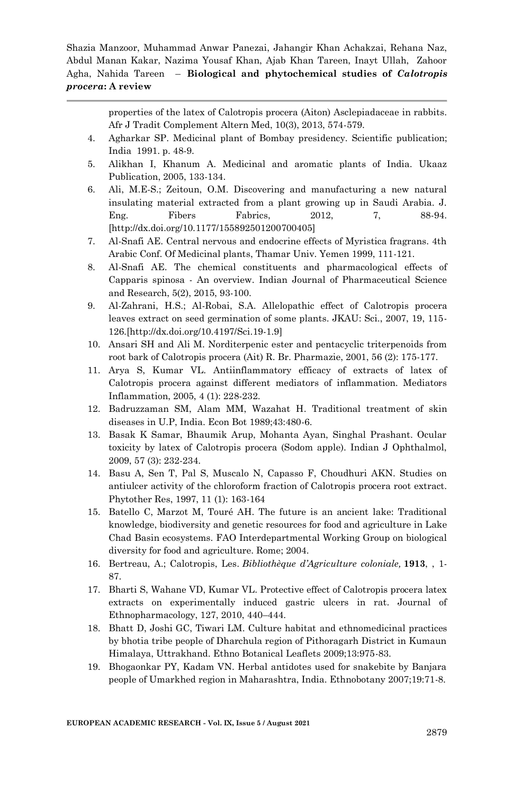> properties of the latex of Calotropis procera (Aiton) Asclepiadaceae in rabbits. Afr J Tradit Complement Altern Med, 10(3), 2013, 574-579.

- 4. Agharkar SP. Medicinal plant of Bombay presidency. Scientific publication; India 1991. p. 48-9.
- 5. Alikhan I, Khanum A. Medicinal and aromatic plants of India. Ukaaz Publication, 2005, 133-134.
- 6. Ali, M.E-S.; Zeitoun, O.M. Discovering and manufacturing a new natural insulating material extracted from a plant growing up in Saudi Arabia. J. Eng. Fibers Fabrics, 2012, 7, 88-94. [http://dx.doi.org/10.1177/155892501200700405]
- 7. Al-Snafi AE. Central nervous and endocrine effects of Myristica fragrans. 4th Arabic Conf. Of Medicinal plants, Thamar Univ. Yemen 1999, 111-121.
- 8. Al-Snafi AE. The chemical constituents and pharmacological effects of Capparis spinosa - An overview. Indian Journal of Pharmaceutical Science and Research, 5(2), 2015, 93-100.
- 9. Al-Zahrani, H.S.; Al-Robai, S.A. Allelopathic effect of Calotropis procera leaves extract on seed germination of some plants. JKAU: Sci., 2007, 19, 115- 126.[http://dx.doi.org/10.4197/Sci.19-1.9]
- 10. Ansari SH and Ali M. Norditerpenic ester and pentacyclic triterpenoids from root bark of Calotropis procera (Ait) R. Br. Pharmazie, 2001, 56 (2): 175-177.
- 11. Arya S, Kumar VL. Antiinflammatory efficacy of extracts of latex of Calotropis procera against different mediators of inflammation. Mediators Inflammation, 2005, 4 (1): 228-232.
- 12. Badruzzaman SM, Alam MM, Wazahat H. Traditional treatment of skin diseases in U.P, India. Econ Bot 1989;43:480-6.
- 13. Basak K Samar, Bhaumik Arup, Mohanta Ayan, Singhal Prashant. Ocular toxicity by latex of Calotropis procera (Sodom apple). Indian J Ophthalmol, 2009, 57 (3): 232-234.
- 14. Basu A, Sen T, Pal S, Muscalo N, Capasso F, Choudhuri AKN. Studies on antiulcer activity of the chloroform fraction of Calotropis procera root extract. Phytother Res, 1997, 11 (1): 163-164
- 15. Batello C, Marzot M, Touré AH. The future is an ancient lake: Traditional knowledge, biodiversity and genetic resources for food and agriculture in Lake Chad Basin ecosystems. FAO Interdepartmental Working Group on biological diversity for food and agriculture. Rome; 2004.
- 16. Bertreau, A.; Calotropis, Les. *Bibliothèque d'Agriculture coloniale,* **1913**, , 1- 87.
- 17. Bharti S, Wahane VD, Kumar VL. Protective effect of Calotropis procera latex extracts on experimentally induced gastric ulcers in rat. Journal of Ethnopharmacology, 127, 2010, 440–444.
- 18. Bhatt D, Joshi GC, Tiwari LM. Culture habitat and ethnomedicinal practices by bhotia tribe people of Dharchula region of Pithoragarh District in Kumaun Himalaya, Uttrakhand. Ethno Botanical Leaflets 2009;13:975-83.
- 19. Bhogaonkar PY, Kadam VN. Herbal antidotes used for snakebite by Banjara people of Umarkhed region in Maharashtra, India. Ethnobotany 2007;19:71-8.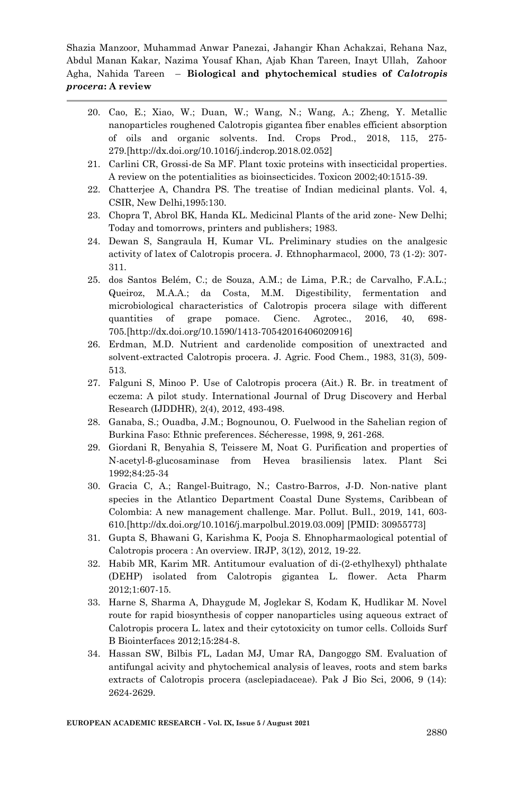- 20. Cao, E.; Xiao, W.; Duan, W.; Wang, N.; Wang, A.; Zheng, Y. Metallic nanoparticles roughened Calotropis gigantea fiber enables efficient absorption of oils and organic solvents. Ind. Crops Prod., 2018, 115, 275- 279.[http://dx.doi.org/10.1016/j.indcrop.2018.02.052]
- 21. Carlini CR, Grossi-de Sa MF. Plant toxic proteins with insecticidal properties. A review on the potentialities as bioinsecticides. Toxicon 2002;40:1515-39.
- 22. Chatterjee A, Chandra PS. The treatise of Indian medicinal plants. Vol. 4, CSIR, New Delhi,1995:130.
- 23. Chopra T, Abrol BK, Handa KL. Medicinal Plants of the arid zone- New Delhi; Today and tomorrows, printers and publishers; 1983.
- 24. Dewan S, Sangraula H, Kumar VL. Preliminary studies on the analgesic activity of latex of Calotropis procera. J. Ethnopharmacol, 2000, 73 (1-2): 307- 311.
- 25. dos Santos Belém, C.; de Souza, A.M.; de Lima, P.R.; de Carvalho, F.A.L.; Queiroz, M.A.A.; da Costa, M.M. Digestibility, fermentation and microbiological characteristics of Calotropis procera silage with different quantities of grape pomace. Cienc. Agrotec., 2016, 40, 698- 705.[http://dx.doi.org/10.1590/1413-70542016406020916]
- 26. Erdman, M.D. Nutrient and cardenolide composition of unextracted and solvent-extracted Calotropis procera. J. Agric. Food Chem., 1983, 31(3), 509- 513.
- 27. Falguni S, Minoo P. Use of Calotropis procera (Ait.) R. Br. in treatment of eczema: A pilot study. International Journal of Drug Discovery and Herbal Research (IJDDHR), 2(4), 2012, 493-498.
- 28. Ganaba, S.; Ouadba, J.M.; Bognounou, O. Fuelwood in the Sahelian region of Burkina Faso: Ethnic preferences. Sécheresse, 1998, 9, 261-268.
- 29. Giordani R, Benyahia S, Teissere M, Noat G. Purification and properties of N-acetyl-β-glucosaminase from Hevea brasiliensis latex. Plant Sci 1992;84:25-34
- 30. Gracia C, A.; Rangel-Buitrago, N.; Castro-Barros, J-D. Non-native plant species in the Atlantico Department Coastal Dune Systems, Caribbean of Colombia: A new management challenge. Mar. Pollut. Bull., 2019, 141, 603- 610.[http://dx.doi.org/10.1016/j.marpolbul.2019.03.009] [PMID: 30955773]
- 31. Gupta S, Bhawani G, Karishma K, Pooja S. Ehnopharmaological potential of Calotropis procera : An overview. IRJP, 3(12), 2012, 19-22.
- 32. Habib MR, Karim MR. Antitumour evaluation of di-(2-ethylhexyl) phthalate (DEHP) isolated from Calotropis gigantea L. flower. Acta Pharm 2012;1:607-15.
- 33. Harne S, Sharma A, Dhaygude M, Joglekar S, Kodam K, Hudlikar M. Novel route for rapid biosynthesis of copper nanoparticles using aqueous extract of Calotropis procera L. latex and their cytotoxicity on tumor cells. Colloids Surf B Biointerfaces 2012;15:284-8.
- 34. Hassan SW, Bilbis FL, Ladan MJ, Umar RA, Dangoggo SM. Evaluation of antifungal acivity and phytochemical analysis of leaves, roots and stem barks extracts of Calotropis procera (asclepiadaceae). Pak J Bio Sci, 2006, 9 (14): 2624-2629.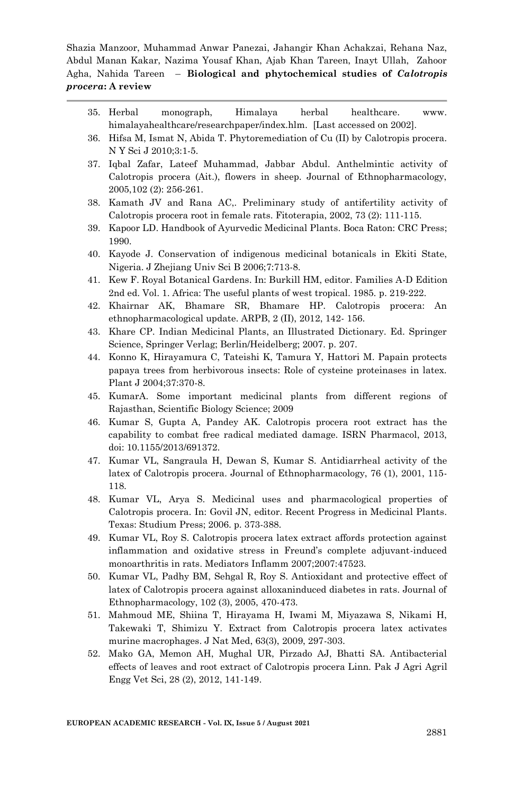- 35. Herbal monograph, Himalaya herbal healthcare. www. himalayahealthcare/researchpaper/index.hlm. [Last accessed on 2002].
- 36. Hifsa M, Ismat N, Abida T. Phytoremediation of Cu (II) by Calotropis procera. N Y Sci J 2010;3:1-5.
- 37. Iqbal Zafar, Lateef Muhammad, Jabbar Abdul. Anthelmintic activity of Calotropis procera (Ait.), flowers in sheep. Journal of Ethnopharmacology, 2005,102 (2): 256-261.
- 38. Kamath JV and Rana AC,. Preliminary study of antifertility activity of Calotropis procera root in female rats. Fitoterapia, 2002, 73 (2): 111-115.
- 39. Kapoor LD. Handbook of Ayurvedic Medicinal Plants. Boca Raton: CRC Press; 1990.
- 40. Kayode J. Conservation of indigenous medicinal botanicals in Ekiti State, Nigeria. J Zhejiang Univ Sci B 2006;7:713-8.
- 41. Kew F. Royal Botanical Gardens. In: Burkill HM, editor. Families A-D Edition 2nd ed. Vol. 1. Africa: The useful plants of west tropical. 1985. p. 219-222.
- 42. Khairnar AK, Bhamare SR, Bhamare HP. Calotropis procera: An ethnopharmacological update. ARPB, 2 (II), 2012, 142- 156.
- 43. Khare CP. Indian Medicinal Plants, an Illustrated Dictionary. Ed. Springer Science, Springer Verlag; Berlin/Heidelberg; 2007. p. 207.
- 44. Konno K, Hirayamura C, Tateishi K, Tamura Y, Hattori M. Papain protects papaya trees from herbivorous insects: Role of cysteine proteinases in latex. Plant J 2004;37:370-8.
- 45. KumarA. Some important medicinal plants from different regions of Rajasthan, Scientific Biology Science; 2009
- 46. Kumar S, Gupta A, Pandey AK. Calotropis procera root extract has the capability to combat free radical mediated damage. ISRN Pharmacol, 2013, doi: 10.1155/2013/691372.
- 47. Kumar VL, Sangraula H, Dewan S, Kumar S. Antidiarrheal activity of the latex of Calotropis procera. Journal of Ethnopharmacology, 76 (1), 2001, 115- 118.
- 48. Kumar VL, Arya S. Medicinal uses and pharmacological properties of Calotropis procera. In: Govil JN, editor. Recent Progress in Medicinal Plants. Texas: Studium Press; 2006. p. 373-388.
- 49. Kumar VL, Roy S. Calotropis procera latex extract affords protection against inflammation and oxidative stress in Freund's complete adjuvant-induced monoarthritis in rats. Mediators Inflamm 2007;2007:47523.
- 50. Kumar VL, Padhy BM, Sehgal R, Roy S. Antioxidant and protective effect of latex of Calotropis procera against alloxaninduced diabetes in rats. Journal of Ethnopharmacology, 102 (3), 2005, 470-473.
- 51. Mahmoud ME, Shiina T, Hirayama H, Iwami M, Miyazawa S, Nikami H, Takewaki T, Shimizu Y. Extract from Calotropis procera latex activates murine macrophages. J Nat Med, 63(3), 2009, 297-303.
- 52. Mako GA, Memon AH, Mughal UR, Pirzado AJ, Bhatti SA. Antibacterial effects of leaves and root extract of Calotropis procera Linn. Pak J Agri Agril Engg Vet Sci, 28 (2), 2012, 141-149.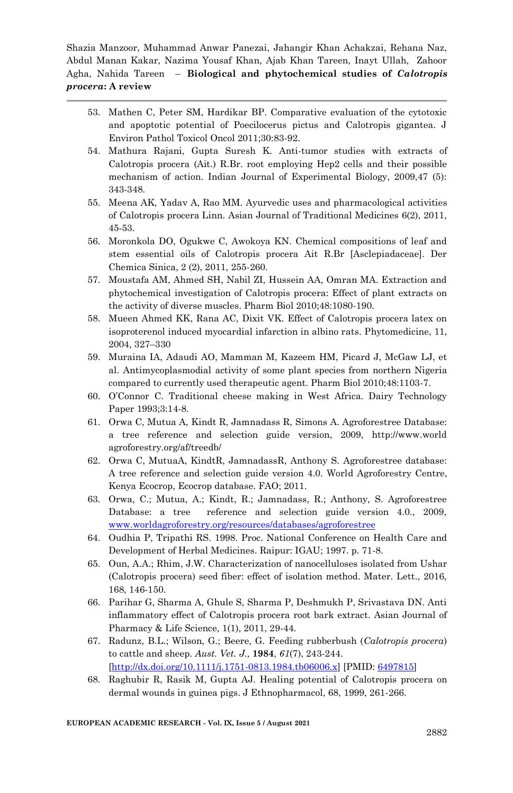- 53. Mathen C, Peter SM, Hardikar BP. Comparative evaluation of the cytotoxic and apoptotic potential of Poecilocerus pictus and Calotropis gigantea. J Environ Pathol Toxicol Oncol 2011;30:83-92.
- 54. Mathura Rajani, Gupta Suresh K. Anti-tumor studies with extracts of Calotropis procera (Ait.) R.Br. root employing Hep2 cells and their possible mechanism of action. Indian Journal of Experimental Biology, 2009,47 (5): 343-348.
- 55. Meena AK, Yadav A, Rao MM. Ayurvedic uses and pharmacological activities of Calotropis procera Linn. Asian Journal of Traditional Medicines 6(2), 2011, 45-53.
- 56. Moronkola DO, Ogukwe C, Awokoya KN. Chemical compositions of leaf and stem essential oils of Calotropis procera Ait R.Br [Asclepiadaceae]. Der Chemica Sinica, 2 (2), 2011, 255-260.
- 57. Moustafa AM, Ahmed SH, Nabil ZI, Hussein AA, Omran MA. Extraction and phytochemical investigation of Calotropis procera: Effect of plant extracts on the activity of diverse muscles. Pharm Biol 2010;48:1080-190.
- 58. Mueen Ahmed KK, Rana AC, Dixit VK. Effect of Calotropis procera latex on isoproterenol induced myocardial infarction in albino rats. Phytomedicine, 11, 2004, 327–330
- 59. Muraina IA, Adaudi AO, Mamman M, Kazeem HM, Picard J, McGaw LJ, et al. Antimycoplasmodial activity of some plant species from northern Nigeria compared to currently used therapeutic agent. Pharm Biol 2010;48:1103-7.
- 60. O'Connor C. Traditional cheese making in West Africa. Dairy Technology Paper 1993;3:14-8.
- 61. Orwa C, Mutua A, Kindt R, Jamnadass R, Simons A. Agroforestree Database: a tree reference and selection guide version, 2009, http://www.world agroforestry.org/af/treedb/
- 62. Orwa C, MutuaA, KindtR, JamnadassR, Anthony S. Agroforestree database: A tree reference and selection guide version 4.0. World Agroforestry Centre, Kenya Ecocrop, Ecocrop database. FAO; 2011.
- 63. Orwa, C.; Mutua, A.; Kindt, R.; Jamnadass, R.; Anthony, S. Agroforestree Database: a tree reference and selection guide version 4.0., 2009, [www.worldagroforestry.org/resources/databases/agroforestree](http://www.worldagroforestry.org/resources/databases/agroforestree)
- 64. Oudhia P, Tripathi RS. 1998. Proc. National Conference on Health Care and Development of Herbal Medicines. Raipur: IGAU; 1997. p. 71-8.
- 65. Oun, A.A.; Rhim, J.W. Characterization of nanocelluloses isolated from Ushar (Calotropis procera) seed fiber: effect of isolation method. Mater. Lett., 2016, 168, 146-150.
- 66. Parihar G, Sharma A, Ghule S, Sharma P, Deshmukh P, Srivastava DN. Anti inflammatory effect of Calotropis procera root bark extract. Asian Journal of Pharmacy & Life Science, 1(1), 2011, 29-44.
- 67. Radunz, B.L.; Wilson, G.; Beere, G. Feeding rubberbush (*Calotropis procera*) to cattle and sheep. *Aust. Vet. J.,* **1984**, *61*(7), 243-244. [\[http://dx.doi.org/10.1111/j.1751-0813.1984.tb06006.x\]](http://dx.doi.org/10.1111/j.1751-0813.1984.tb06006.x) [PMID: [6497815\]](http://www.ncbi.nlm.nih.gov/pubmed/6497815)
- 68. Raghubir R, Rasik M, Gupta AJ. Healing potential of Calotropis procera on dermal wounds in guinea pigs. J Ethnopharmacol, 68, 1999, 261-266.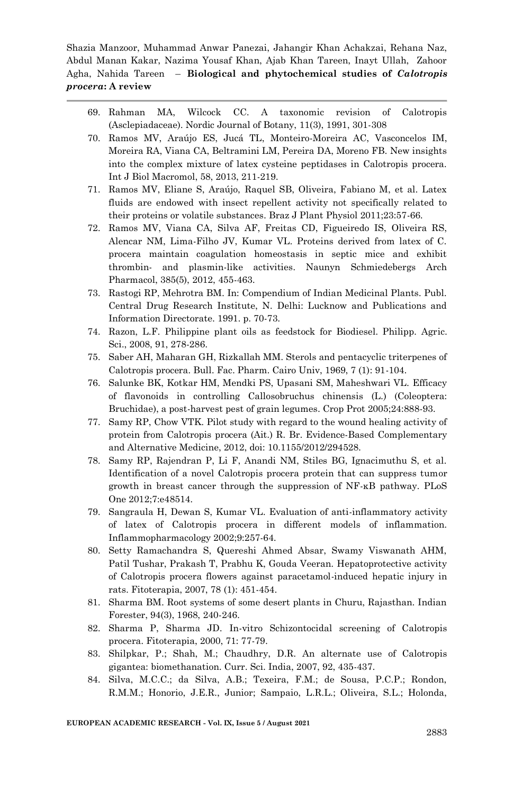- 69. Rahman MA, Wilcock CC. A taxonomic revision of Calotropis (Asclepiadaceae). Nordic Journal of Botany, 11(3), 1991, 301-308
- 70. Ramos MV, Araújo ES, Jucá TL, Monteiro-Moreira AC, Vasconcelos IM, Moreira RA, Viana CA, Beltramini LM, Pereira DA, Moreno FB. New insights into the complex mixture of latex cysteine peptidases in Calotropis procera. Int J Biol Macromol, 58, 2013, 211-219.
- 71. Ramos MV, Eliane S, Araújo, Raquel SB, Oliveira, Fabiano M, et al. Latex fluids are endowed with insect repellent activity not specifically related to their proteins or volatile substances. Braz J Plant Physiol 2011;23:57-66.
- 72. Ramos MV, Viana CA, Silva AF, Freitas CD, Figueiredo IS, Oliveira RS, Alencar NM, Lima-Filho JV, Kumar VL. Proteins derived from latex of C. procera maintain coagulation homeostasis in septic mice and exhibit thrombin- and plasmin-like activities. Naunyn Schmiedebergs Arch Pharmacol, 385(5), 2012, 455-463.
- 73. Rastogi RP, Mehrotra BM. In: Compendium of Indian Medicinal Plants. Publ. Central Drug Research Institute, N. Delhi: Lucknow and Publications and Information Directorate. 1991. p. 70-73.
- 74. Razon, L.F. Philippine plant oils as feedstock for Biodiesel. Philipp. Agric. Sci., 2008, 91, 278-286.
- 75. Saber AH, Maharan GH, Rizkallah MM. Sterols and pentacyclic triterpenes of Calotropis procera. Bull. Fac. Pharm. Cairo Univ, 1969, 7 (1): 91-104.
- 76. Salunke BK, Kotkar HM, Mendki PS, Upasani SM, Maheshwari VL. Efficacy of flavonoids in controlling Callosobruchus chinensis (L.) (Coleoptera: Bruchidae), a post-harvest pest of grain legumes. Crop Prot 2005;24:888-93.
- 77. Samy RP, Chow VTK. Pilot study with regard to the wound healing activity of protein from Calotropis procera (Ait.) R. Br. Evidence-Based Complementary and Alternative Medicine, 2012, doi: 10.1155/2012/294528.
- 78. Samy RP, Rajendran P, Li F, Anandi NM, Stiles BG, Ignacimuthu S, et al. Identification of a novel Calotropis procera protein that can suppress tumor growth in breast cancer through the suppression of NF-κB pathway. PLoS One 2012;7:e48514.
- 79. Sangraula H, Dewan S, Kumar VL. Evaluation of anti-inflammatory activity of latex of Calotropis procera in different models of inflammation. Inflammopharmacology 2002;9:257-64.
- 80. Setty Ramachandra S, Quereshi Ahmed Absar, Swamy Viswanath AHM, Patil Tushar, Prakash T, Prabhu K, Gouda Veeran. Hepatoprotective activity of Calotropis procera flowers against paracetamol-induced hepatic injury in rats. Fitoterapia, 2007, 78 (1): 451-454.
- 81. Sharma BM. Root systems of some desert plants in Churu, Rajasthan. Indian Forester, 94(3), 1968, 240-246.
- 82. Sharma P, Sharma JD. In-vitro Schizontocidal screening of Calotropis procera. Fitoterapia, 2000, 71: 77-79.
- 83. Shilpkar, P.; Shah, M.; Chaudhry, D.R. An alternate use of Calotropis gigantea: biomethanation. Curr. Sci. India, 2007, 92, 435-437.
- 84. Silva, M.C.C.; da Silva, A.B.; Texeira, F.M.; de Sousa, P.C.P.; Rondon, R.M.M.; Honorio, J.E.R., Junior; Sampaio, L.R.L.; Oliveira, S.L.; Holonda,